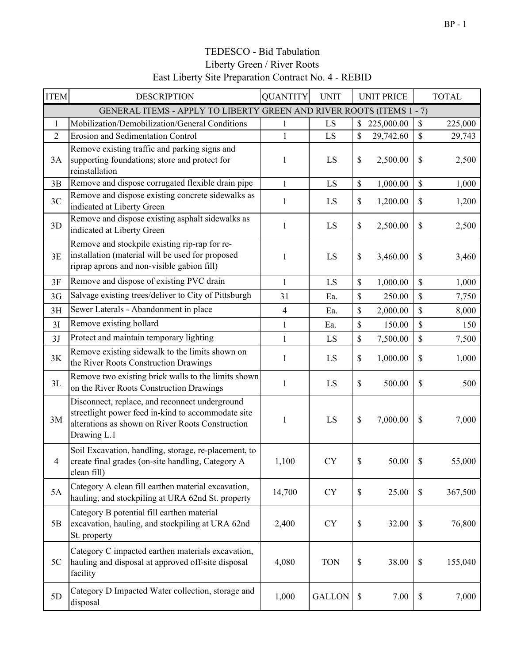| <b>ITEM</b>    | <b>DESCRIPTION</b>                                                                                                                                                      | <b>QUANTITY</b> | <b>UNIT</b>   |              | <b>UNIT PRICE</b> | <b>TOTAL</b>  |
|----------------|-------------------------------------------------------------------------------------------------------------------------------------------------------------------------|-----------------|---------------|--------------|-------------------|---------------|
|                | GENERAL ITEMS - APPLY TO LIBERTY GREEN AND RIVER ROOTS (ITEMS 1 - 7)                                                                                                    |                 |               |              |                   |               |
| $\mathbf{1}$   | Mobilization/Demobilization/General Conditions                                                                                                                          | 1               | LS            | $\mathbb{S}$ | 225,000.00        | \$<br>225,000 |
| $\overline{2}$ | <b>Erosion and Sedimentation Control</b>                                                                                                                                | $\mathbf{1}$    | LS            | \$           | 29,742.60         | \$<br>29,743  |
| 3A             | Remove existing traffic and parking signs and<br>supporting foundations; store and protect for<br>reinstallation                                                        | 1               | LS            | \$           | 2,500.00          | \$<br>2,500   |
| 3B             | Remove and dispose corrugated flexible drain pipe                                                                                                                       | $\mathbf{1}$    | LS            | \$           | 1,000.00          | \$<br>1,000   |
| 3C             | Remove and dispose existing concrete sidewalks as<br>indicated at Liberty Green                                                                                         | 1               | LS            | \$           | 1,200.00          | \$<br>1,200   |
| 3D             | Remove and dispose existing asphalt sidewalks as<br>indicated at Liberty Green                                                                                          | 1               | LS            | \$           | 2,500.00          | \$<br>2,500   |
| 3E             | Remove and stockpile existing rip-rap for re-<br>installation (material will be used for proposed<br>riprap aprons and non-visible gabion fill)                         | $\mathbf{1}$    | LS            | \$           | 3,460.00          | \$<br>3,460   |
| 3F             | Remove and dispose of existing PVC drain                                                                                                                                | $\mathbf{1}$    | LS            | \$           | 1,000.00          | \$<br>1,000   |
| 3G             | Salvage existing trees/deliver to City of Pittsburgh                                                                                                                    | 31              | Ea.           | \$           | 250.00            | \$<br>7,750   |
| 3H             | Sewer Laterals - Abandonment in place                                                                                                                                   | 4               | Ea.           | \$           | 2,000.00          | \$<br>8,000   |
| 3I             | Remove existing bollard                                                                                                                                                 | $\mathbf{1}$    | Ea.           | \$           | 150.00            | \$<br>150     |
| 3J             | Protect and maintain temporary lighting                                                                                                                                 | $\mathbf{1}$    | LS            | \$           | 7,500.00          | \$<br>7,500   |
| 3K             | Remove existing sidewalk to the limits shown on<br>the River Roots Construction Drawings                                                                                | 1               | LS            | \$           | 1,000.00          | \$<br>1,000   |
| 3L             | Remove two existing brick walls to the limits shown<br>on the River Roots Construction Drawings                                                                         | 1               | LS            | \$           | 500.00            | \$<br>500     |
| 3M             | Disconnect, replace, and reconnect underground<br>streetlight power feed in-kind to accommodate site<br>alterations as shown on River Roots Construction<br>Drawing L.1 | 1               | LS            | \$           | 7,000.00          | \$<br>7,000   |
|                | Soil Excavation, handling, storage, re-placement, to<br>create final grades (on-site handling, Category A<br>clean fill)                                                | 1,100           | <b>CY</b>     | \$           | 50.00             | \$<br>55,000  |
| 5A             | Category A clean fill earthen material excavation,<br>hauling, and stockpiling at URA 62nd St. property                                                                 | 14,700          | <b>CY</b>     | $\$$         | 25.00             | \$<br>367,500 |
| 5B             | Category B potential fill earthen material<br>excavation, hauling, and stockpiling at URA 62nd<br>St. property                                                          | 2,400           | <b>CY</b>     | \$           | 32.00             | \$<br>76,800  |
| 5C             | Category C impacted earthen materials excavation,<br>hauling and disposal at approved off-site disposal<br>facility                                                     | 4,080           | <b>TON</b>    | \$           | 38.00             | \$<br>155,040 |
| 5D             | Category D Impacted Water collection, storage and<br>disposal                                                                                                           | 1,000           | <b>GALLON</b> | \$           | 7.00              | \$<br>7,000   |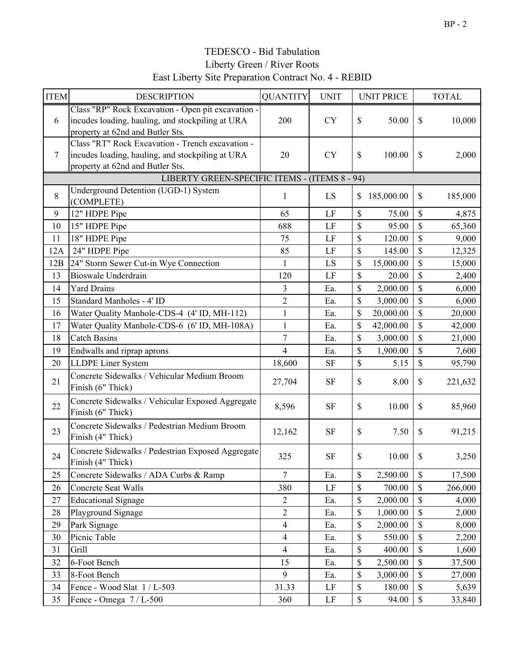| <b>ITEM</b>    | <b>DESCRIPTION</b>                                                                                                                         | <b>QUANTITY</b>         | <b>UNIT</b> |    | <b>UNIT PRICE</b> |              | <b>TOTAL</b> |  |
|----------------|--------------------------------------------------------------------------------------------------------------------------------------------|-------------------------|-------------|----|-------------------|--------------|--------------|--|
| 6              | Class "RP" Rock Excavation - Open pit excavation -<br>incudes loading, hauling, and stockpiling at URA<br>property at 62nd and Butler Sts. | 200                     | <b>CY</b>   | \$ | 50.00             | \$           | 10,000       |  |
| $\overline{7}$ | Class "RT" Rock Excavation - Trench excavation -<br>incudes loading, hauling, and stockpiling at URA<br>property at 62nd and Butler Sts.   | 20                      | <b>CY</b>   | \$ | 100.00            | \$           | 2,000        |  |
|                | LIBERTY GREEN-SPECIFIC ITEMS - (ITEMS 8 - 94)                                                                                              |                         |             |    |                   |              |              |  |
| 8              | Underground Detention (UGD-1) System<br>(COMPLETE)                                                                                         | $\mathbf{1}$            | LS          | \$ | 185,000.00        | \$           | 185,000      |  |
| 9              | 12" HDPE Pipe                                                                                                                              | 65                      | LF          | \$ | 75.00             | \$           | 4,875        |  |
| 10             | 15" HDPE Pipe                                                                                                                              | 688                     | LF          | \$ | 95.00             | \$           | 65,360       |  |
| 11             | 18" HDPE Pipe                                                                                                                              | 75                      | LF          | \$ | 120.00            | \$           | 9,000        |  |
| 12A            | 24" HDPE Pipe                                                                                                                              | 85                      | LF          | \$ | 145.00            | \$           | 12,325       |  |
| 12B            | 24" Storm Sewer Cut-in Wye Connection                                                                                                      | 1                       | LS          | \$ | 15,000.00         | \$           | 15,000       |  |
| 13             | <b>Bioswale Underdrain</b>                                                                                                                 | 120                     | LF          | \$ | 20.00             | \$           | 2,400        |  |
| 14             | <b>Yard Drains</b>                                                                                                                         | 3                       | Ea.         | \$ | 2,000.00          | \$           | 6,000        |  |
| 15             | Standard Manholes - 4' ID                                                                                                                  | $\overline{2}$          | Ea.         | \$ | 3,000.00          | \$           | 6,000        |  |
| 16             | Water Quality Manhole-CDS-4 (4' ID, MH-112)                                                                                                | $\mathbf{1}$            | Ea.         | \$ | 20,000.00         | \$           | 20,000       |  |
| 17             | Water Quality Manhole-CDS-6 (6' ID, MH-108A)                                                                                               | $\mathbf{1}$            | Ea.         | \$ | 42,000.00         | \$           | 42,000       |  |
| 18             | <b>Catch Basins</b>                                                                                                                        | $\overline{7}$          | Ea.         | \$ | 3,000.00          | \$           | 21,000       |  |
| 19             | Endwalls and riprap aprons                                                                                                                 | $\overline{\mathbf{4}}$ | Ea.         | \$ | 1,900.00          | \$           | 7,600        |  |
| 20             | <b>LLDPE</b> Liner System                                                                                                                  | 18,600                  | <b>SF</b>   | \$ | 5.15              | \$           | 95,790       |  |
| 21             | Concrete Sidewalks / Vehicular Medium Broom<br>Finish (6" Thick)                                                                           | 27,704                  | <b>SF</b>   | \$ | 8.00              | \$           | 221,632      |  |
| 22             | Concrete Sidewalks / Vehicular Exposed Aggregate<br>Finish (6" Thick)                                                                      | 8,596                   | <b>SF</b>   | \$ | 10.00             | \$           | 85,960       |  |
| 23             | Concrete Sidewalks / Pedestrian Medium Broom<br>Finish (4" Thick)                                                                          | 12,162                  | <b>SF</b>   | \$ | 7.50              | \$           | 91,215       |  |
| 24             | Concrete Sidewalks / Pedestrian Exposed Aggregate<br>Finish (4" Thick)                                                                     | 325                     | <b>SF</b>   | \$ | 10.00             | \$           | 3,250        |  |
| 25             | Concrete Sidewalks / ADA Curbs & Ramp                                                                                                      | $\overline{7}$          | Ea.         | \$ | 2,500.00          | \$           | 17,500       |  |
| 26             | Concrete Seat Walls                                                                                                                        | 380                     | $\rm LF$    | \$ | 700.00            | \$           | 266,000      |  |
| 27             | <b>Educational Signage</b>                                                                                                                 | $\overline{c}$          | Ea.         | \$ | 2,000.00          | \$           | 4,000        |  |
| 28             | Playground Signage                                                                                                                         | $\overline{2}$          | Ea.         | \$ | 1,000.00          | \$           | 2,000        |  |
| 29             | Park Signage                                                                                                                               | $\overline{4}$          | Ea.         | \$ | 2,000.00          | \$           | 8,000        |  |
| 30             | Picnic Table                                                                                                                               | $\overline{4}$          | Ea.         | \$ | 550.00            | \$           | 2,200        |  |
| 31             | Grill                                                                                                                                      | $\overline{4}$          | Ea.         | \$ | 400.00            | \$           | 1,600        |  |
| 32             | 6-Foot Bench                                                                                                                               | 15                      | Ea.         | \$ | 2,500.00          | \$           | 37,500       |  |
| 33             | 8-Foot Bench                                                                                                                               | 9                       | Ea.         | \$ | 3,000.00          | \$           | 27,000       |  |
| 34             | Fence - Wood Slat 1 / L-503                                                                                                                | 31.33                   | LF          | \$ | 180.00            | $\mathbb{S}$ | 5,639        |  |
| 35             | Fence - Omega 7 / L-500                                                                                                                    | 360                     | LF          | \$ | 94.00             | \$           | 33,840       |  |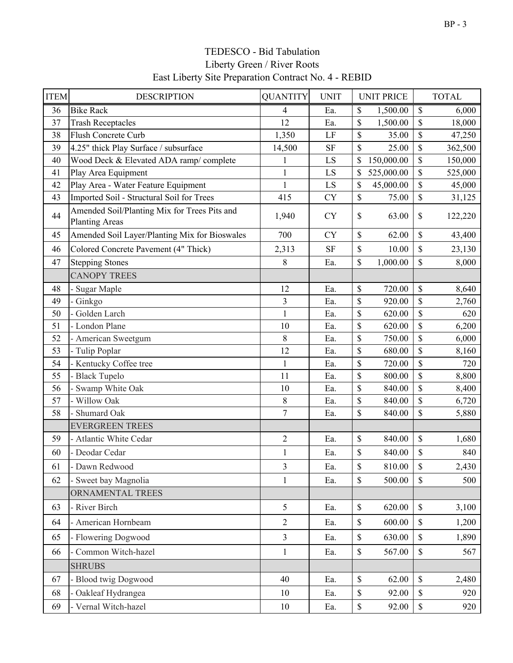| <b>ITEM</b> | <b>DESCRIPTION</b>                                                    | <b>QUANTITY</b> | <b>UNIT</b> | <b>UNIT PRICE</b> |               | <b>TOTAL</b> |
|-------------|-----------------------------------------------------------------------|-----------------|-------------|-------------------|---------------|--------------|
| 36          | <b>Bike Rack</b>                                                      | $\overline{4}$  | Ea.         | \$<br>1,500.00    | \$            | 6,000        |
| 37          | <b>Trash Receptacles</b>                                              | 12              | Ea.         | \$<br>1,500.00    | \$            | 18,000       |
| 38          | Flush Concrete Curb                                                   | 1,350           | LF          | \$<br>35.00       | \$            | 47,250       |
| 39          | 4.25" thick Play Surface / subsurface                                 | 14,500          | <b>SF</b>   | \$<br>25.00       | \$            | 362,500      |
| 40          | Wood Deck & Elevated ADA ramp/complete                                | $\mathbf{1}$    | LS          | \$<br>150,000.00  | \$            | 150,000      |
| 41          | Play Area Equipment                                                   | $\mathbf{1}$    | LS          | \$<br>525,000.00  | \$            | 525,000      |
| 42          | Play Area - Water Feature Equipment                                   | $\mathbf{1}$    | LS          | 45,000.00<br>\$   | \$            | 45,000       |
| 43          | Imported Soil - Structural Soil for Trees                             | 415             | <b>CY</b>   | \$<br>75.00       | \$            | 31,125       |
| 44          | Amended Soil/Planting Mix for Trees Pits and<br><b>Planting Areas</b> | 1,940           | <b>CY</b>   | \$<br>63.00       | \$            | 122,220      |
| 45          | Amended Soil Layer/Planting Mix for Bioswales                         | 700             | <b>CY</b>   | \$<br>62.00       | \$            | 43,400       |
| 46          | Colored Concrete Pavement (4" Thick)                                  | 2,313           | <b>SF</b>   | \$<br>$10.00\,$   | \$            | 23,130       |
| 47          | <b>Stepping Stones</b>                                                | 8               | Ea.         | \$<br>1,000.00    | \$            | 8,000        |
|             | <b>CANOPY TREES</b>                                                   |                 |             |                   |               |              |
| 48          | Sugar Maple                                                           | 12              | Ea.         | \$<br>720.00      | \$            | 8,640        |
| 49          | - Ginkgo                                                              | 3               | Ea.         | \$<br>920.00      | \$            | 2,760        |
| 50          | Golden Larch                                                          | $\mathbf{1}$    | Ea.         | \$<br>620.00      | \$            | 620          |
| 51          | - London Plane                                                        | 10              | Ea.         | \$<br>620.00      | \$            | 6,200        |
| 52          | American Sweetgum                                                     | 8               | Ea.         | \$<br>750.00      | \$            | 6,000        |
| 53          | - Tulip Poplar                                                        | 12              | Ea.         | \$<br>680.00      | \$            | 8,160        |
| 54          | Kentucky Coffee tree                                                  | $\mathbf{1}$    | Ea.         | \$<br>720.00      | \$            | 720          |
| 55          | - Black Tupelo                                                        | 11              | Ea.         | \$<br>800.00      | \$            | 8,800        |
| 56          | Swamp White Oak                                                       | 10              | Ea.         | \$<br>840.00      | \$            | 8,400        |
| 57          | - Willow Oak                                                          | 8               | Ea.         | \$<br>840.00      | \$            | 6,720        |
| 58          | Shumard Oak                                                           | $\overline{7}$  | Ea.         | \$<br>840.00      | \$            | 5,880        |
|             | <b>EVERGREEN TREES</b>                                                |                 |             |                   |               |              |
| 59          | - Atlantic White Cedar                                                | $\overline{2}$  | Ea.         | $\$$<br>840.00    | $\mathbb{S}$  | 1,680        |
| 60          | - Deodar Cedar                                                        | $\mathbf{1}$    | Ea.         | \$<br>840.00      | \$            | 840          |
| 61          | - Dawn Redwood                                                        | 3               | Ea.         | \$<br>810.00      | \$            | 2,430        |
| 62          | - Sweet bay Magnolia                                                  | $\mathbf{1}$    | Ea.         | \$<br>500.00      | \$            | 500          |
|             | ORNAMENTAL TREES                                                      |                 |             |                   |               |              |
| 63          | - River Birch                                                         | 5               | Ea.         | $\$$<br>620.00    | $\$$          | 3,100        |
| 64          | - American Hornbeam                                                   | $\overline{2}$  | Ea.         | \$<br>600.00      | $\mathcal{S}$ | 1,200        |
| 65          | - Flowering Dogwood                                                   | $\overline{3}$  | Ea.         | \$<br>630.00      | $\$$          | 1,890        |
| 66          | - Common Witch-hazel                                                  | $\mathbf{1}$    | Ea.         | \$<br>567.00      | $\$$          | 567          |
|             | <b>SHRUBS</b>                                                         |                 |             |                   |               |              |
| 67          | - Blood twig Dogwood                                                  | 40              | Ea.         | $\$$<br>62.00     | $\mathbb{S}$  | 2,480        |
| 68          | - Oakleaf Hydrangea                                                   | 10              | Ea.         | \$<br>92.00       | $\mathcal{S}$ | 920          |
| 69          | - Vernal Witch-hazel                                                  | 10              | Ea.         | \$<br>92.00       | $\mathbb S$   | 920          |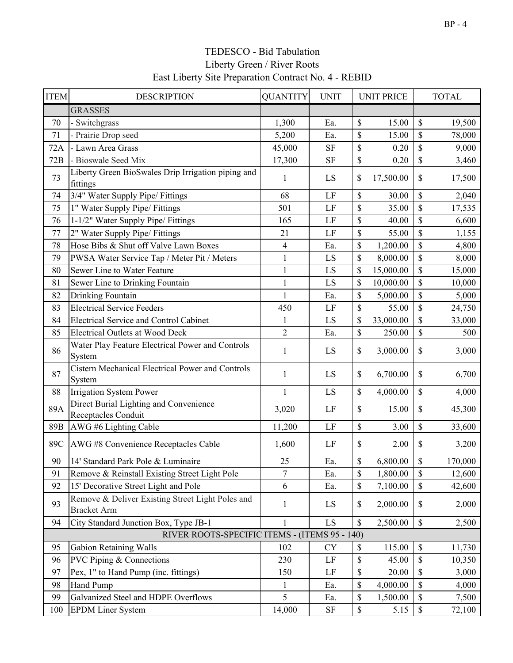| <b>ITEM</b> | <b>DESCRIPTION</b>                                                     | <b>QUANTITY</b> | <b>UNIT</b>              | <b>UNIT PRICE</b> |              | <b>TOTAL</b> |
|-------------|------------------------------------------------------------------------|-----------------|--------------------------|-------------------|--------------|--------------|
|             | <b>GRASSES</b>                                                         |                 |                          |                   |              |              |
| 70          | - Switchgrass                                                          | 1,300           | Ea.                      | \$<br>15.00       | \$           | 19,500       |
| 71          | Prairie Drop seed                                                      | 5,200           | Ea.                      | \$<br>15.00       | \$           | 78,000       |
| 72A         | Lawn Area Grass                                                        | 45,000          | <b>SF</b>                | \$<br>0.20        | \$           | 9,000        |
| 72B         | - Bioswale Seed Mix                                                    | 17,300          | <b>SF</b>                | \$<br>0.20        | \$           | 3,460        |
| 73          | Liberty Green BioSwales Drip Irrigation piping and<br>fittings         | 1               | LS                       | \$<br>17,500.00   | \$           | 17,500       |
| 74          | 3/4" Water Supply Pipe/ Fittings                                       | 68              | LF                       | \$<br>30.00       | \$           | 2,040        |
| 75          | 1" Water Supply Pipe/ Fittings                                         | 501             | LF                       | \$<br>35.00       | \$           | 17,535       |
| 76          | 1-1/2" Water Supply Pipe/ Fittings                                     | 165             | LF                       | \$<br>40.00       | \$           | 6,600        |
| 77          | 2" Water Supply Pipe/ Fittings                                         | 21              | LF                       | \$<br>55.00       | \$           | 1,155        |
| 78          | Hose Bibs & Shut off Valve Lawn Boxes                                  | $\overline{4}$  | Ea.                      | \$<br>1,200.00    | \$           | 4,800        |
| 79          | PWSA Water Service Tap / Meter Pit / Meters                            | $\mathbf{1}$    | LS                       | \$<br>8,000.00    | \$           | 8,000        |
| 80          | Sewer Line to Water Feature                                            | $\mathbf{1}$    | LS                       | \$<br>15,000.00   | \$           | 15,000       |
| 81          | Sewer Line to Drinking Fountain                                        | $\mathbf{1}$    | LS                       | \$<br>10,000.00   | \$           | 10,000       |
| 82          | Drinking Fountain                                                      | $\mathbf{1}$    | Ea.                      | \$<br>5,000.00    | \$           | 5,000        |
| 83          | <b>Electrical Service Feeders</b>                                      | 450             | LF                       | \$<br>55.00       | \$           | 24,750       |
| 84          | <b>Electrical Service and Control Cabinet</b>                          | $\mathbf{1}$    | LS                       | \$<br>33,000.00   | \$           | 33,000       |
| 85          | <b>Electrical Outlets at Wood Deck</b>                                 | $\overline{2}$  | Ea.                      | \$<br>250.00      | \$           | 500          |
| 86          | Water Play Feature Electrical Power and Controls<br>System             | 1               | LS                       | \$<br>3,000.00    | \$           | 3,000        |
| 87          | Cistern Mechanical Electrical Power and Controls<br>System             | $\mathbf{1}$    | LS                       | \$<br>6,700.00    | \$           | 6,700        |
| 88          | <b>Irrigation System Power</b>                                         | $\mathbf{1}$    | LS                       | \$<br>4,000.00    | \$           | 4,000        |
| 89A         | Direct Burial Lighting and Convenience<br>Receptacles Conduit          | 3,020           | LF                       | \$<br>15.00       | \$           | 45,300       |
| 89B         | AWG #6 Lighting Cable                                                  | 11,200          | LF                       | \$<br>3.00        | \$           | 33,600       |
| 89C         | AWG #8 Convenience Receptacles Cable                                   | 1,600           | LF                       | \$<br>2.00        | \$           | 3,200        |
| 90          | 14' Standard Park Pole & Luminaire                                     | 25              | Ea.                      | \$<br>6,800.00    | \$           | 170,000      |
| 91          | Remove & Reinstall Existing Street Light Pole                          | 7               | Ea.                      | \$<br>1,800.00    | \$           | 12,600       |
| 92          | 15' Decorative Street Light and Pole                                   | 6               | Ea.                      | \$<br>7,100.00    | $\mathbb{S}$ | 42,600       |
| 93          | Remove & Deliver Existing Street Light Poles and<br><b>Bracket Arm</b> | 1               | LS                       | \$<br>2,000.00    | \$           | 2,000        |
| 94          | City Standard Junction Box, Type JB-1                                  | $\mathbf{1}$    | $\mathop{\hbox{\rm LS}}$ | \$<br>2,500.00    | \$           | 2,500        |
|             | RIVER ROOTS-SPECIFIC ITEMS - (ITEMS 95 - 140)                          |                 |                          |                   |              |              |
| 95          | <b>Gabion Retaining Walls</b>                                          | 102             | <b>CY</b>                | \$<br>115.00      | \$           | 11,730       |
| 96          | <b>PVC Piping &amp; Connections</b>                                    | 230             | LF                       | \$<br>45.00       | \$           | 10,350       |
| 97          | Pex, 1" to Hand Pump (inc. fittings)                                   | 150             | LF                       | \$<br>20.00       | \$           | 3,000        |
| 98          | Hand Pump                                                              | 1               | Ea.                      | \$<br>4,000.00    | \$           | 4,000        |
| 99          | Galvanized Steel and HDPE Overflows                                    | 5               | Ea.                      | \$<br>1,500.00    | \$           | 7,500        |
| 100         | <b>EPDM Liner System</b>                                               | 14,000          | SF                       | \$<br>5.15        | \$           | 72,100       |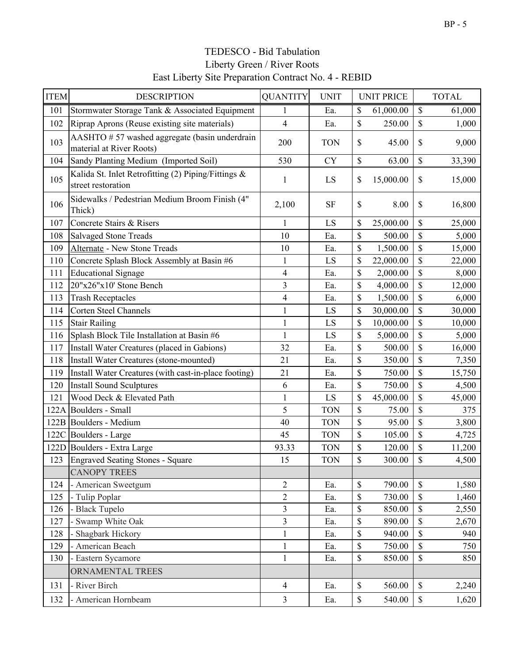| <b>ITEM</b> | <b>DESCRIPTION</b>                                                        | <b>QUANTITY</b>          | <b>UNIT</b> |              | <b>UNIT PRICE</b> |              | <b>TOTAL</b> |
|-------------|---------------------------------------------------------------------------|--------------------------|-------------|--------------|-------------------|--------------|--------------|
| 101         | Stormwater Storage Tank & Associated Equipment                            | 1                        | Ea.         | \$           | 61,000.00         | \$           | 61,000       |
| 102         | Riprap Aprons (Reuse existing site materials)                             | $\overline{\mathcal{A}}$ | Ea.         | \$           | 250.00            | \$           | 1,000        |
| 103         | AASHTO #57 washed aggregate (basin underdrain<br>material at River Roots) | 200                      | <b>TON</b>  | \$           | 45.00             | \$           | 9,000        |
| 104         | Sandy Planting Medium (Imported Soil)                                     | 530                      | <b>CY</b>   | \$           | 63.00             | \$           | 33,390       |
| 105         | Kalida St. Inlet Retrofitting (2) Piping/Fittings &<br>street restoration | 1                        | LS          | \$           | 15,000.00         | \$           | 15,000       |
| 106         | Sidewalks / Pedestrian Medium Broom Finish (4"<br>Thick)                  | 2,100                    | <b>SF</b>   | \$           | 8.00              | \$           | 16,800       |
| 107         | Concrete Stairs & Risers                                                  | 1                        | LS          | \$           | 25,000.00         | \$           | 25,000       |
| 108         | <b>Salvaged Stone Treads</b>                                              | 10                       | Ea.         | \$           | 500.00            | \$           | 5,000        |
| 109         | Alternate - New Stone Treads                                              | 10                       | Ea.         | \$           | 1,500.00          | \$           | 15,000       |
| 110         | Concrete Splash Block Assembly at Basin #6                                | $\mathbf{1}$             | LS          | \$           | 22,000.00         | \$           | 22,000       |
| 111         | <b>Educational Signage</b>                                                | $\overline{\mathbf{4}}$  | Ea.         | \$           | 2,000.00          | \$           | 8,000        |
| 112         | 20"x26"x10' Stone Bench                                                   | $\overline{\mathbf{3}}$  | Ea.         | \$           | 4,000.00          | \$           | 12,000       |
| 113         | <b>Trash Receptacles</b>                                                  | $\overline{\mathbf{4}}$  | Ea.         | \$           | 1,500.00          | \$           | 6,000        |
| 114         | <b>Corten Steel Channels</b>                                              | $\mathbf{1}$             | LS          | \$           | 30,000.00         | $\mathbb{S}$ | 30,000       |
| 115         | <b>Stair Railing</b>                                                      | $\mathbf{1}$             | LS          | \$           | 10,000.00         | \$           | 10,000       |
| 116         | Splash Block Tile Installation at Basin #6                                | $\mathbf{1}$             | LS          | \$           | 5,000.00          | \$           | 5,000        |
| 117         | Install Water Creatures (placed in Gabions)                               | 32                       | Ea.         | \$           | 500.00            | \$           | 16,000       |
| 118         | Install Water Creatures (stone-mounted)                                   | 21                       | Ea.         | \$           | 350.00            | \$           | 7,350        |
| 119         | Install Water Creatures (with cast-in-place footing)                      | 21                       | Ea.         | \$           | 750.00            | \$           | 15,750       |
| 120         | <b>Install Sound Sculptures</b>                                           | 6                        | Ea.         | \$           | 750.00            | \$           | 4,500        |
| 121         | Wood Deck & Elevated Path                                                 | $\mathbf{1}$             | LS          | \$           | 45,000.00         | \$           | 45,000       |
|             | 122A Boulders - Small                                                     | 5                        | <b>TON</b>  | \$           | 75.00             | \$           | 375          |
|             | 122B Boulders - Medium                                                    | 40                       | <b>TON</b>  | \$           | 95.00             | \$           | 3,800        |
|             | 122C Boulders - Large                                                     | 45                       | <b>TON</b>  | \$           | 105.00            | \$           | 4,725        |
|             | 122D Boulders - Extra Large                                               | 93.33                    | <b>TON</b>  | \$           | 120.00            | \$           | 11,200       |
|             | 123 Engraved Seating Stones - Square                                      | 15                       | <b>TON</b>  | \$           | 300.00            | \$           | 4,500        |
|             | <b>CANOPY TREES</b>                                                       |                          |             |              |                   |              |              |
| 124         | - American Sweetgum                                                       | $\overline{c}$           | Ea.         | $\mathbb{S}$ | 790.00            | \$           | 1,580        |
| 125         | - Tulip Poplar                                                            | $\overline{2}$           | Ea.         | \$           | 730.00            | \$           | 1,460        |
| 126         | <b>Black Tupelo</b>                                                       | $\overline{\mathbf{3}}$  | Ea.         | \$           | 850.00            | \$           | 2,550        |
| 127         | - Swamp White Oak                                                         | $\overline{3}$           | Ea.         | \$           | 890.00            | \$           | 2,670        |
| 128         | Shagbark Hickory                                                          | $\mathbf{1}$             | Ea.         | \$           | 940.00            | \$           | 940          |
| 129         | American Beach                                                            | $\mathbf{1}$             | Ea.         | \$           | 750.00            | \$           | 750          |
| 130         | - Eastern Sycamore                                                        | $\mathbf{1}$             | Ea.         | \$           | 850.00            | \$           | 850          |
|             | ORNAMENTAL TREES                                                          |                          |             |              |                   |              |              |
| 131         | - River Birch                                                             | $\overline{4}$           | Ea.         | $\mathbb{S}$ | 560.00            | $\mathbb S$  | 2,240        |
| 132         | American Hornbeam                                                         | $\overline{3}$           | Ea.         | $\mathbb S$  | 540.00            | $\mathbb S$  | 1,620        |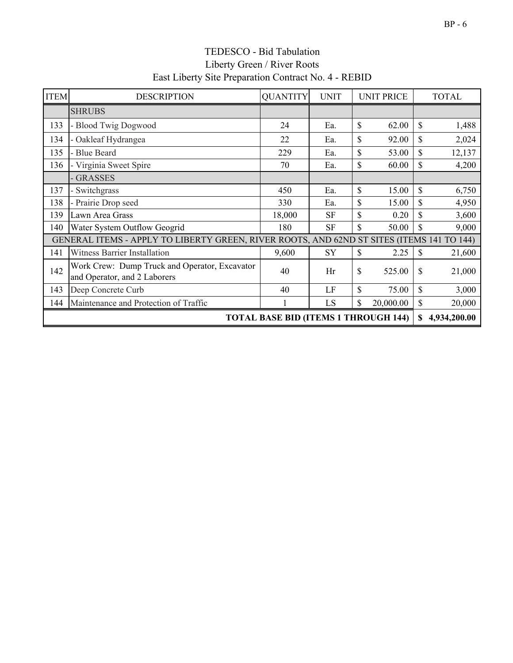| <b>ITEM</b>                                 | <b>DESCRIPTION</b>                                                                        | <b>QUANTITY</b> | <b>UNIT</b> |              | <b>UNIT PRICE</b> |              | <b>TOTAL</b> |
|---------------------------------------------|-------------------------------------------------------------------------------------------|-----------------|-------------|--------------|-------------------|--------------|--------------|
|                                             | <b>SHRUBS</b>                                                                             |                 |             |              |                   |              |              |
| 133                                         | <b>Blood Twig Dogwood</b>                                                                 | 24              | Ea.         | \$           | 62.00             | $\mathbb{S}$ | 1,488        |
| 134                                         | Oakleaf Hydrangea                                                                         | 22              | Ea.         | \$           | 92.00             | \$           | 2,024        |
| 135                                         | <b>Blue Beard</b>                                                                         | 229             | Ea.         | \$           | 53.00             | $\mathbb{S}$ | 12,137       |
| 136                                         | Virginia Sweet Spire                                                                      | 70              | Ea.         | \$           | 60.00             | \$           | 4,200        |
|                                             | <b>GRASSES</b>                                                                            |                 |             |              |                   |              |              |
| 137                                         | Switchgrass                                                                               | 450             | Ea.         | \$           | 15.00             | $\mathbb{S}$ | 6,750        |
| 138                                         | - Prairie Drop seed                                                                       | 330             | Ea.         | \$           | 15.00             | \$           | 4,950        |
| 139                                         | Lawn Area Grass                                                                           | 18,000          | <b>SF</b>   | \$           | 0.20              | \$           | 3,600        |
| 140                                         | Water System Outflow Geogrid                                                              | 180             | <b>SF</b>   | $\mathbb{S}$ | 50.00             | \$           | 9,000        |
|                                             | GENERAL ITEMS - APPLY TO LIBERTY GREEN, RIVER ROOTS, AND 62ND ST SITES (ITEMS 141 TO 144) |                 |             |              |                   |              |              |
| 141                                         | <b>Witness Barrier Installation</b>                                                       | 9,600           | SY          | \$           | 2.25              | \$           | 21,600       |
| 142                                         | Work Crew: Dump Truck and Operator, Excavator<br>and Operator, and 2 Laborers             | 40              | Hr          | \$           | 525.00            | \$           | 21,000       |
| 143                                         | Deep Concrete Curb                                                                        | 40              | LF          | \$           | 75.00             | $\mathbf S$  | 3,000        |
| 144                                         | Maintenance and Protection of Traffic                                                     |                 | LS          | \$           | 20,000.00         | \$           | 20,000       |
| <b>TOTAL BASE BID (ITEMS 1 THROUGH 144)</b> |                                                                                           |                 |             |              |                   |              | 4,934,200.00 |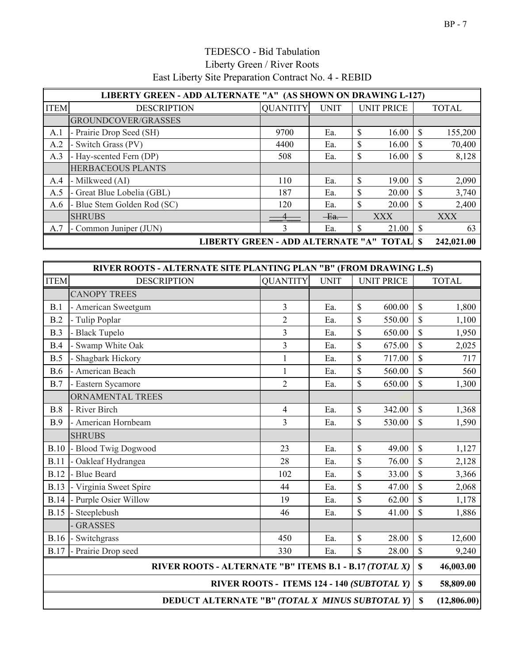|                                                     | LIBERTY GREEN - ADD ALTERNATE "A" (AS SHOWN ON DRAWING L-127) |                 |             |                   |               |              |  |  |  |
|-----------------------------------------------------|---------------------------------------------------------------|-----------------|-------------|-------------------|---------------|--------------|--|--|--|
| <b>ITEM</b>                                         | <b>DESCRIPTION</b>                                            | <b>OUANTITY</b> | <b>UNIT</b> | <b>UNIT PRICE</b> |               | <b>TOTAL</b> |  |  |  |
|                                                     | GROUNDCOVER/GRASSES                                           |                 |             |                   |               |              |  |  |  |
| A.1                                                 | - Prairie Drop Seed (SH)                                      | 9700            | Ea.         | \$<br>16.00       | <sup>\$</sup> | 155,200      |  |  |  |
| A.2                                                 | - Switch Grass (PV)                                           | 4400            | Ea.         | \$<br>16.00       | <sup>\$</sup> | 70,400       |  |  |  |
| A.3                                                 | - Hay-scented Fern (DP)                                       | 508             | Ea.         | \$<br>16.00       | S             | 8,128        |  |  |  |
|                                                     | <b>HERBACEOUS PLANTS</b>                                      |                 |             |                   |               |              |  |  |  |
| A.4                                                 | - Milkweed (AI)                                               | 110             | Ea.         | \$<br>19.00       | <sup>\$</sup> | 2,090        |  |  |  |
| A.5                                                 | - Great Blue Lobelia (GBL)                                    | 187             | Ea.         | \$<br>20.00       | <sup>\$</sup> | 3,740        |  |  |  |
| A.6                                                 | - Blue Stem Golden Rod (SC)                                   | 120             | Ea.         | \$<br>20.00       | <sup>\$</sup> | 2,400        |  |  |  |
|                                                     | <b>SHRUBS</b>                                                 |                 | $Ea$ .      | <b>XXX</b>        |               | <b>XXX</b>   |  |  |  |
| A.7                                                 | - Common Juniper (JUN)                                        | ∍               | Ea.         | \$<br>21.00       | <sup>\$</sup> | 63           |  |  |  |
| LIBERTY GREEN - ADD ALTERNATE "A" TOTAL<br><b>S</b> |                                                               |                 |             |                   |               |              |  |  |  |

|                                                        | RIVER ROOTS - ALTERNATE SITE PLANTING PLAN "B" (FROM DRAWING L.5) |                 |             |                                            |                    |              |
|--------------------------------------------------------|-------------------------------------------------------------------|-----------------|-------------|--------------------------------------------|--------------------|--------------|
| <b>ITEM</b>                                            | <b>DESCRIPTION</b>                                                | <b>QUANTITY</b> | <b>UNIT</b> | <b>UNIT PRICE</b>                          |                    | <b>TOTAL</b> |
|                                                        | <b>CANOPY TREES</b>                                               |                 |             |                                            |                    |              |
| B.1                                                    | - American Sweetgum                                               | $\overline{3}$  | Ea.         | \$<br>600.00                               | \$                 | 1,800        |
| B.2                                                    | - Tulip Poplar                                                    | $\overline{2}$  | Ea.         | \$<br>550.00                               | \$                 | 1,100        |
| B.3                                                    | - Black Tupelo                                                    | 3               | Ea.         | \$<br>650.00                               | \$                 | 1,950        |
| B.4                                                    | Swamp White Oak                                                   | $\overline{3}$  | Ea.         | \$<br>675.00                               | \$                 | 2,025        |
| B.5                                                    | Shagbark Hickory                                                  | $\mathbf{1}$    | Ea.         | \$<br>717.00                               | \$                 | 717          |
| <b>B.6</b>                                             | - American Beach                                                  | 1               | Ea.         | \$<br>560.00                               | \$                 | 560          |
| B.7                                                    | - Eastern Sycamore                                                | $\overline{2}$  | Ea.         | \$<br>650.00                               | \$                 | 1,300        |
|                                                        | ORNAMENTAL TREES                                                  |                 |             |                                            |                    |              |
| B.8                                                    | - River Birch                                                     | $\overline{4}$  | Ea.         | \$<br>342.00                               | \$                 | 1,368        |
| <b>B.9</b>                                             | - American Hornbeam                                               | 3               | Ea.         | \$<br>530.00                               | \$                 | 1,590        |
|                                                        | <b>SHRUBS</b>                                                     |                 |             |                                            |                    |              |
| B.10                                                   | - Blood Twig Dogwood                                              | 23              | Ea.         | \$<br>49.00                                | $\mathbf{\hat{S}}$ | 1,127        |
| <b>B.11</b>                                            | - Oakleaf Hydrangea                                               | 28              | Ea.         | \$<br>76.00                                | \$                 | 2,128        |
| <b>B.12</b>                                            | - Blue Beard                                                      | 102             | Ea.         | \$<br>33.00                                | \$                 | 3,366        |
| <b>B.13</b>                                            | - Virginia Sweet Spire                                            | 44              | Ea.         | \$<br>47.00                                | \$                 | 2,068        |
| <b>B.14</b>                                            | - Purple Osier Willow                                             | 19              | Ea.         | \$<br>62.00                                | \$                 | 1,178        |
| <b>B.15</b>                                            | Steeplebush                                                       | 46              | Ea.         | \$<br>41.00                                | \$                 | 1,886        |
|                                                        | <b>GRASSES</b>                                                    |                 |             |                                            |                    |              |
| <b>B.16</b>                                            | - Switchgrass                                                     | 450             | Ea.         | \$<br>28.00                                | \$                 | 12,600       |
| <b>B.17</b>                                            | - Prairie Drop seed                                               | 330             | Ea.         | \$<br>28.00                                | $\$$               | 9,240        |
| RIVER ROOTS - ALTERNATE "B" ITEMS B.1 - B.17 (TOTAL X) |                                                                   |                 |             |                                            |                    | 46,003.00    |
|                                                        |                                                                   |                 |             | RIVER ROOTS - ITEMS 124 - 140 (SUBTOTAL Y) | $\mathbb S$        | 58,809.00    |
|                                                        | $\mathbf S$<br>DEDUCT ALTERNATE "B" (TOTAL X MINUS SUBTOTAL Y)    |                 |             |                                            |                    |              |